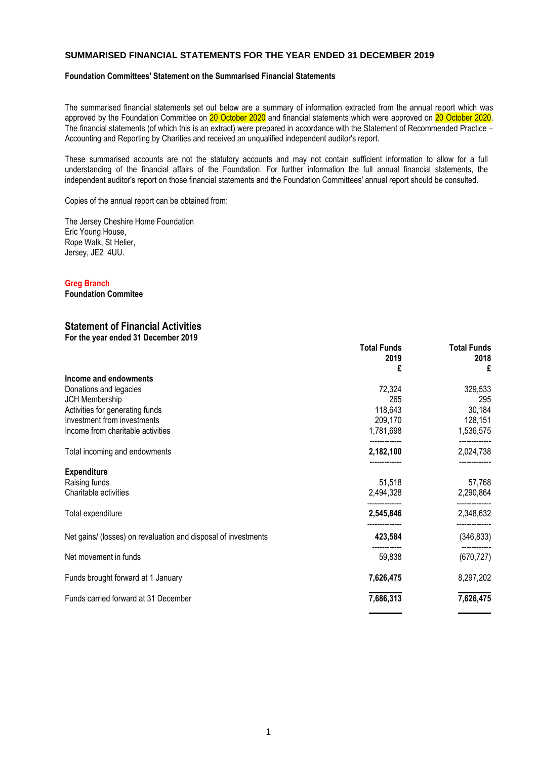### **SUMMARISED FINANCIAL STATEMENTS FOR THE YEAR ENDED 31 DECEMBER 2019**

#### **Foundation Committees' Statement on the Summarised Financial Statements**

The summarised financial statements set out below are a summary of information extracted from the annual report which was approved by the Foundation Committee on 20 October 2020 and financial statements which were approved on 20 October 2020. The financial statements (of which this is an extract) were prepared in accordance with the Statement of Recommended Practice – Accounting and Reporting by Charities and received an unqualified independent auditor's report.

These summarised accounts are not the statutory accounts and may not contain sufficient information to allow for a full understanding of the financial affairs of the Foundation. For further information the full annual financial statements, the independent auditor's report on those financial statements and the Foundation Committees' annual report should be consulted.

Copies of the annual report can be obtained from:

The Jersey Cheshire Home Foundation Eric Young House, Rope Walk, St Helier, Jersey, JE2 4UU.

#### **Greg Branch**

**Foundation Commitee**

## **Statement of Financial Activities**

**For the year ended 31 December 2019**

|                                                                | <b>Total Funds</b><br>2019<br>£ | <b>Total Funds</b><br>2018<br>£ |
|----------------------------------------------------------------|---------------------------------|---------------------------------|
| Income and endowments                                          |                                 |                                 |
| Donations and legacies                                         | 72,324                          | 329,533                         |
| JCH Membership                                                 | 265                             | 295                             |
| Activities for generating funds                                | 118,643                         | 30,184                          |
| Investment from investments                                    | 209,170                         | 128,151                         |
| Income from charitable activities                              | 1,781,698                       | 1,536,575                       |
| Total incoming and endowments                                  | 2,182,100                       | 2,024,738                       |
| <b>Expenditure</b>                                             |                                 |                                 |
| Raising funds                                                  | 51,518                          | 57,768                          |
| Charitable activities                                          | 2,494,328                       | 2,290,864                       |
| Total expenditure                                              | 2,545,846                       | 2,348,632                       |
| Net gains/ (losses) on revaluation and disposal of investments | 423,584                         | (346, 833)                      |
| Net movement in funds                                          | 59,838                          | (670, 727)                      |
| Funds brought forward at 1 January                             | 7,626,475                       | 8,297,202                       |
| Funds carried forward at 31 December                           | 7,686,313                       | 7,626,475                       |
|                                                                |                                 |                                 |